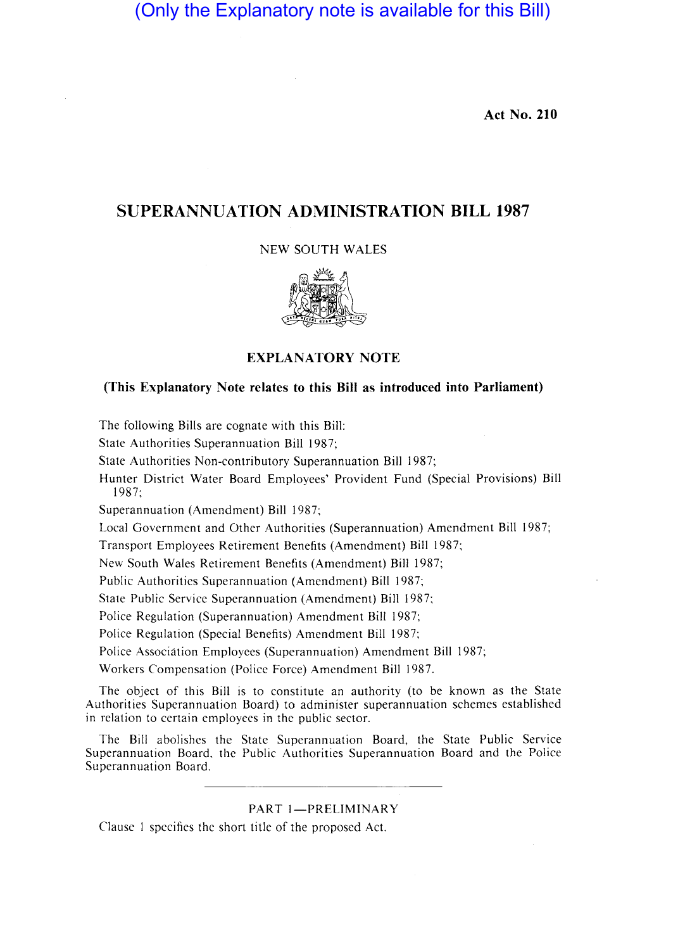(Only the Explanatory note is available for this Bill)

**Act No. 210** 

## **SUPERANNUATION ADMINISTRATION BILL 1987**

### NEW SOUTH WALES



## **EXPLANATORY NOTE**

### **(This Explanatory Note relates to this Bill as introduced into Parliament)**

The following Bills are cognate with this Bill:

State Authorities Superannuation Bill 1987;

State Authorities Non-contributory Superannuation Bill 1987;

Hunter District Water Board Employees' Provident Fund (Special Provisions) Bill 1987;

Superannuation (Amendment) Bill 1987;

Local Government and Other Authorities (Superannuation) Amendment Bill 1987;

Transport Employees Retirement Benefits (Amendment) Bill 1987;

New South Wales Retirement Benefits (Amendment) Bill 1987;

Public Authorities Superannuation (Amendment) Bill 1987;

State Public Service Superannuation (Amendment) Bill 1987;

Police Regulation (Superannuation) Amendment Bill 1987;

Police Regulation (Special Benefits) Amendment Bill 1987;

Police Association Employees (Superannuation) Amendment Bill 1987;

Workers Compensation (Police Force) Amendment Bill 1987.

The object of this Bill is to constitute an authority (to be known as the State Authorities Superannuation Board) to administer superannuation schemes established in relation to certain employees in the public sector.

The Bill abolishes the State Superannuation Board, the State Public Service Superannuation Board, the Public Authorities Superannuation Board and the Police Superannuation Board.

### PART 1-PRELIMINARY

Clause I specifies the short title of the proposed Act.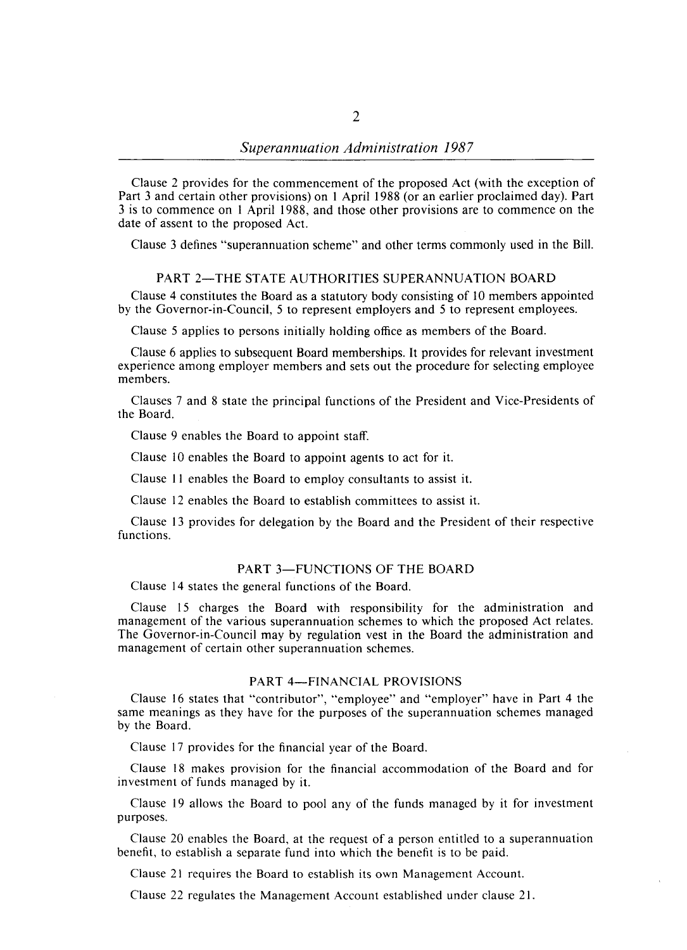Clause 2 provides for the commencement of the proposed Act (with the exception of Part 3 and certain other provisions) on I April 1988 (or an earlier proclaimed day). Part 3 is to commence on I April 1988, and those other provisions are to commence on the date of assent to the proposed Act.

Clause 3 defines "superannuation scheme" and other terms commonly used in the Bill.

#### PART 2-THE STATE AUTHORITIES SUPERANNUATION BOARD

Clause 4 constitutes the Board as a statutory body consisting of 10 members appointed by the Governor-in-Council, 5 to represent employers and 5 to represent employees.

Clause 5 applies to persons initially holding office as members of the Board.

Clause 6 applies to subsequent Board memberships. It provides for relevant investment experience among employer members and sets out the procedure for selecting employee members.

Clauses 7 and 8 state the principal functions of the President and Vice-Presidents of the Board.

Clause 9 enables the Board to appoint staff.

Clause 10 enables the Board to appoint agents to act for it.

Clause II enables the Board to employ consultants to assist it.

Clause 12 enables the Board to establish committees to assist it.

Clause 13 provides for delegation by the Board and the President of their respective functions.

#### PART 3-FUNCTIONS OF THE BOARD

Clause 14 states the general functions of the Board.

Clause 15 charges the Board with responsibility for the administration and management of the various superannuation schemes to which the proposed Act relates. The Governor-in-Council may by regulation vest in the Board the administration and management of certain other superannuation schemes.

#### PART 4-FINANCIAL PROVISIONS

Clause 16 states that "contributor", "employee" and "employer" have in Part 4 the same meanings as they have for the purposes of the superannuation schemes managed by the Board.

Clause 17 provides for the financial year of the Board.

Clause 18 makes provision for the financial accommodation of the Board and for investment of funds managed by it.

Clause 19 allows the Board to pool any of the funds managed by it for investment purposes.

Clause 20 enables the Board, at the request of a person entitled to a superannuation benefit, to establish a separate fund into which the benefit is to be paid.

Clause 21 requires the Board to establish its own Management Account.

Clause 22 regulates the Management Account established under clause 21.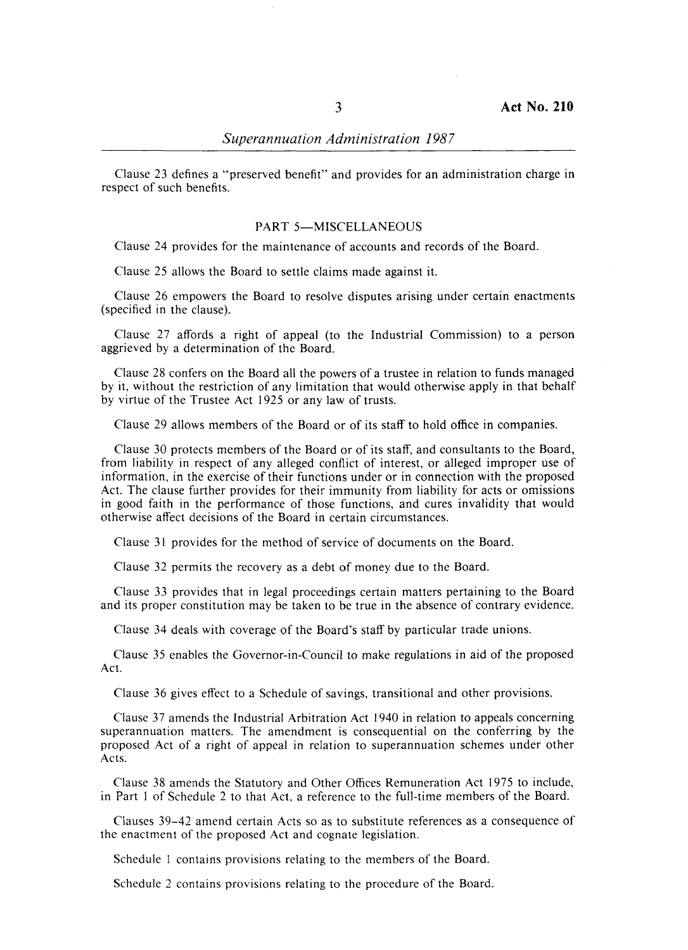Clause 23 defines a "preserved benefit" and provides for an administration charge in respect of such benefits.

#### PART 5-MISCELLANEOUS

Clause 24 provides for the maintenance of accounts and records of the Board.

Clause 25 allows the Board to settle claims made against it.

Clause 26 empowers the Board to resolve disputes arising under certain enactments (specified in the clause).

Clause 27 affords a right of appeal (to the Industrial Commission) to a person aggrieved by a determination of the Board.

Clause 28 confers on the Board all the powers of a trustee in relation to funds managed by it, without the restriction of any limitation that would otherwise apply in that behalf by virtue of the Trustee Act 1925 or any law of trusts.

Clause 29 allows members of the Board or of its staff to hold office in companies.

Clause 30 protects members of the Board or of its staff, and consultants to the Board, from liability in respect of any alleged conflict of interest, or alleged improper use of information, in the exercise of their functions under or in connection with the proposed Act. The clause further provides for their immunity from liability for acts or omissions in good faith in the performance of those functions, and cures invalidity that would otherwise affect decisions of the Board in certain circumstances.

Clause 31 provides for the method of service of documents on the Board.

Clause 32 permits the recovery as a debt of money due to the Board.

Clause 33 provides that in legal proceedings certain matters pertaining to the Board and its proper constitution may be taken to be true in the absence of contrary evidence.

Clause 34 deals with coverage of the Board's staff by particular trade unions.

Clause 35 enables the Governor-in-Council to make regulations in aid of the proposed Act.

Clause 36 gives effect to a Schedule of savings, transitional and other provisions.

Clause 37 amends the Industrial Arbitration Act 1940 in relation to appeals concerning superannuation matters. The amendment is consequential on the conferring by the proposed Act of a right of appeal in relation to superannuation schemes under other Acts.

Clause 38 amends the Statutory and Other Offices Remuneration Act 1975 to include, in Part I of Schedule 2 to that Act. a reference to the full-time members of the Board.

Clauses 39-42 amend certain Acts so as to substitute references as a consequence of the enactment of the proposed Act and cognate legislation.

Schedule I contains provisions relating to the members of the Board.

Schedule 2 contains provisions relating to the procedure of the Board.